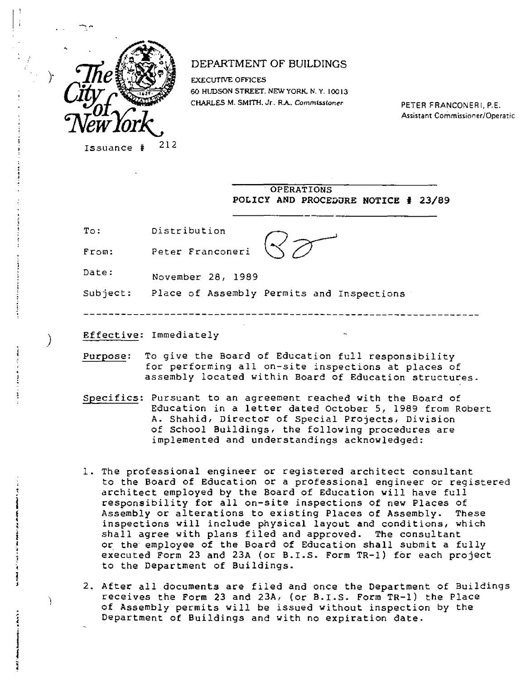

Y.

).

## DEPARTMENT OF BUILDINGS

**EXECUTIVE OFFICES 60 HUDSON STREET. NEW YORK. N. Y. 10013**  CHARLES M. SMITH. Jr.. R.A., Commissioner PETER FRANCONERI, P.E.

Assistant Commissioner/Operatic

\_\_\_\_\_\_\_\_\_\_

Issuance # 212

**OPERATIONS POLICY AND PROCEDURE NOTICE # 23/89** 

To: Distribution

From: Peter Franconeri

Date: November 28, 1989

Subject: Place of Assembly Permits and Inspections

**Effective:** Immediately

- **Purpose:** To give the Board of Education full responsibility for performing all on-site inspections at places of assembly located within Board of Education structures.
- **Specifics:** Pursuant to an agreement reached with the Board of Education in a letter dated October 5, 1989 from Robert A. Shahid, Director of Special Projects, Division of School Buildings, the following procedures are implemented and understandings acknowledged:
- 1. The professional engineer or registered architect consultant to the **Board** of Education or a professional engineer or registered architect employed by the Board of Education will have full responsibility **for** all on-site inspections of new Places of Assembly or alterations to existing Places of Assembly. These inspections will include physical layout **and conditions, which shall agree with** plans filed and approved. The consultant or the employee of the Board of Education shall submit a fully executed Form 23 **and** 23A (or B.I.S. Form TR-1) for each project to the Department of Buildings.
- 2. After all documents are filed and once **the** Department of Buildings receives the Form 23 and 23A, (or B.I.S. Form TR-1) the Place of Assembly permits will be issued without inspection by the Department of Buildings and with no expiration date.